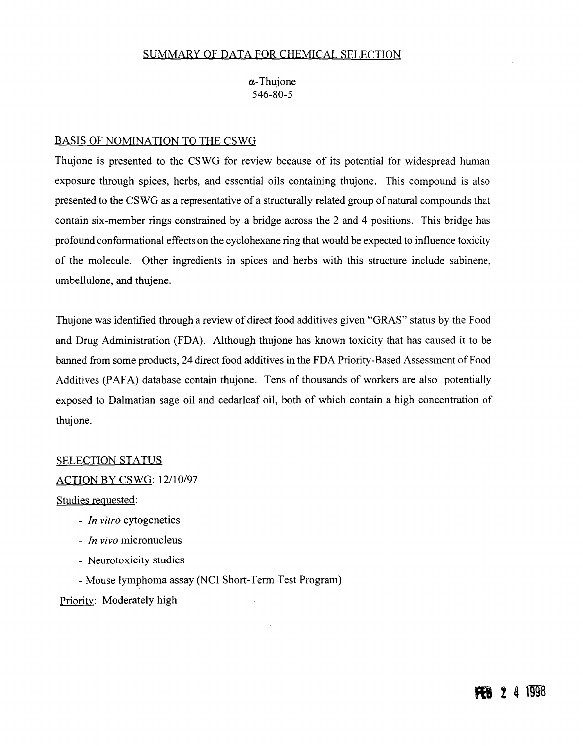# SUMMARY OF DATA FOR CHEMICAL SELECTION

# a-Thujone 546-80-5

#### BASIS OF NOMINATION TO THE CSWG

Thujone is presented to the CSWG for review because of its potential for widespread human exposure through spices, herbs, and essential oils containing thujone. This compound is also presented to the CSWG as a representative of a structurally related group of natural compounds that contain six-member rings constrained by a bridge across the 2 and 4 positions. This bridge has profound conformational effects on the cyclohexane ring that would be expected to influence toxicity of the molecule. Other ingredients in spices and herbs with this structure include sabinene, umbellulone, and thujene.

Thujone was identified through a review of direct food additives given "GRAS" status by the Food and Drug Administration (FDA). Although thujone has known toxicity that has caused it to be banned from some products, 24 direct food additives in the FDA Priority-Based Assessment of Food Additives (PAFA) database contain thujone. Tens of thousands of workers are also potentially exposed to Dalmatian sage oil and cedarleaf oil, both of which contain a high concentration of thujone.

#### SELECTION STATUS

#### ACTION BY CSWG: 12/10/97

Studies reguested:

- *In vitro* cytogenetics
- *In vivo* micronucleus
- Neurotoxicity studies

- Mouse lymphoma assay (NCI Short-Term Test Program) Priority: Moderately high

**FEB 2 4 1998**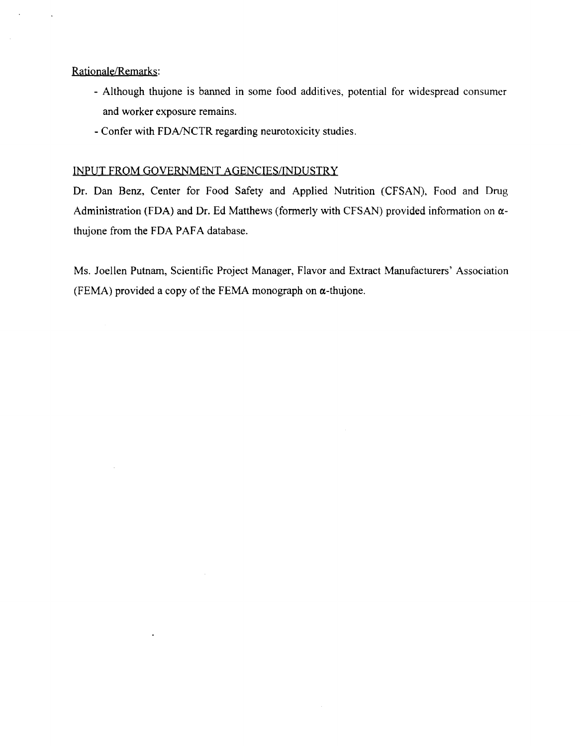# Rationale/Remarks:

- Although thujone is banned in some food additives, potential for widespread consumer and worker exposure remains.
- Confer with FDA/NCTR regarding neurotoxicity studies.

## INPUT FROM GOVERNMENT AGENCIES/INDUSTRY

Dr. Dan Benz, Center for Food Safety and Applied Nutrition (CFSAN), Food and Drug Administration (FDA) and Dr. Ed Matthews (formerly with CFSAN) provided information on  $\alpha$ thujone from the FDA PAFA database.

Ms. Joellen Putnam, Scientific Project Manager, Flavor and Extract Manufacturers' Association (FEMA) provided a copy of the FEMA monograph on  $\alpha$ -thujone.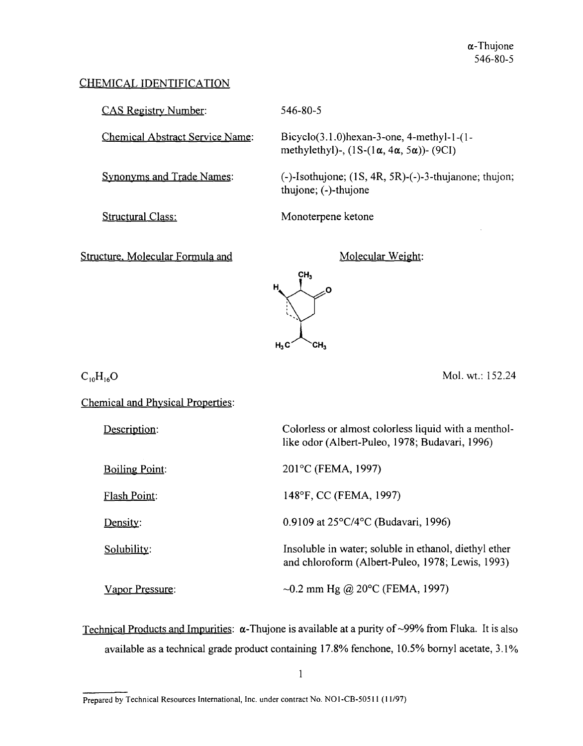# CHEMICAL IDENTIFICATION

CAS Registry Number:

Chemical Abstract Service Name:

Synonyms and Trade Names:

Structural Class:

546-80-5

 $Bicyclo(3.1.0) hexan-3-one, 4-methyl-1-(1$ methylethyl)-,  $(1S-(1\alpha,4\alpha,5\alpha))$ - (9CI)

(-)-Isothujone; (IS, 4R, SR)-(-)-3-thujanone; thujon; thujone; (-)-thujone

Monoterpene ketone

Structure. Molecular Formula and

Molecular Weight:



 $C_{10}H_{16}O$ 

Mol. wt.: 152.24

Chemical and Physical Properties:

Description:

Colorless or almost colorless liquid with a menthol

|  | <u> Boiling Point:</u> |  |
|--|------------------------|--|
|  |                        |  |

Flash Point:

Density:

Solubility:

like odor (Albert-Puleo, 1978; Budavari, 1996)

201 °C (FEMA, 1997)

148°F, CC (FEMA, 1997)

0.9109 at 25°C/4°C (Budavari, 1996)

Insoluble in water; soluble in ethanol, diethyl ether and chloroform (Albert-Puleo, 1978; Lewis, 1993)

Vapor Pressure:

 $-0.2$  mm Hg @ 20 $^{\circ}$ C (FEMA, 1997)

Technical Products and Impurities:  $\alpha$ -Thujone is available at a purity of ~99% from Fluka. It is also available as a technical grade product containing 17.8% fenchone, 10.5% bomyl acetate, 3.1 %

Prepared by Technical Resources International, Inc. under contract No. NO 1-CB-50511 (11/97)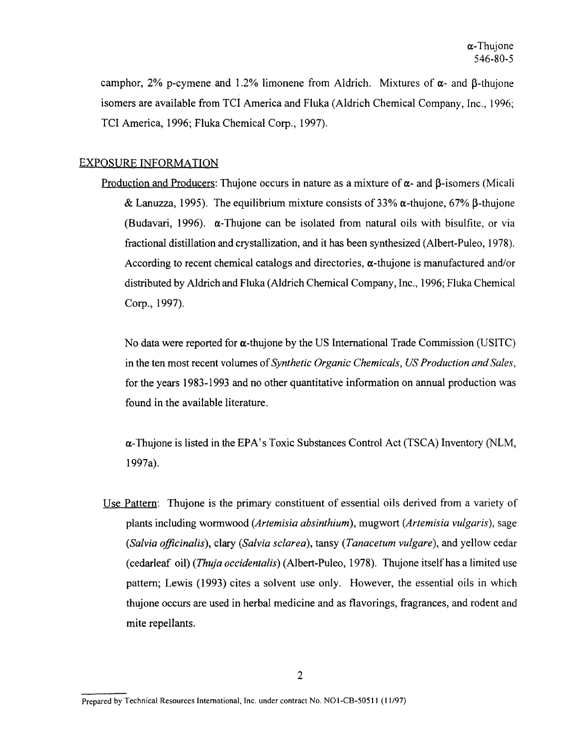camphor, 2% p-cymene and 1.2% limonene from Aldrich. Mixtures of  $\alpha$ - and  $\beta$ -thujone isomers are available from TCI America and Fluka (Aldrich Chemical Company, Inc., 1996; TCI America, 1996; Fluka Chemical Corp., 1997).

## EXPOSURE INFORMATION

Production and Producers: Thujone occurs in nature as a mixture of  $\alpha$ - and  $\beta$ -isomers (Micali & Lanuzza, 1995). The equilibrium mixture consists of 33%  $\alpha$ -thujone, 67%  $\beta$ -thujone (Budavari, 1996).  $\alpha$ -Thujone can be isolated from natural oils with bisulfite, or via fractional distillation and crystallization, and it has been synthesized (Albert-Puleo, 1978). According to recent chemical catalogs and directories,  $\alpha$ -thujone is manufactured and/or distributed by Aldrich and Fluka (Aldrich Chemical Company, Inc., 1996; Fluka Chemical Corp., 1997).

No data were reported for  $\alpha$ -thujone by the US International Trade Commission (USITC) in the ten most recent volumes of*Synthetic Organic Chemicals, US Production and Sales,*  for the years 1983-1993 and no other quantitative information on annual production was found in the available literature.

 $\alpha$ -Thujone is listed in the EPA's Toxic Substances Control Act (TSCA) Inventory (NLM, 1997a).

Use Pattern: Thujone is the primary constituent of essential oils derived from a variety of plants including wormwood *(Artemisia absinthium),* mugwort *(Artemisia vulgaris),* sage *(Salvia officinalis),* clary *(Salvia sclarea),* tansy *(Tanacetum vulgare),* and yellow cedar (cedarleaf oil) *(Thuja occidentalis)* (Albert-Puleo, 1978). Thujone itself has a limited use pattern; Lewis (1993) cites a solvent use only. However, the essential oils in which thujone occurs are used in herbal medicine and as flavorings, fragrances, and rodent and mite repellants.

Prepared by Technical Resources International, Inc. under contract No. NO l-CB-50511 ( 11/97)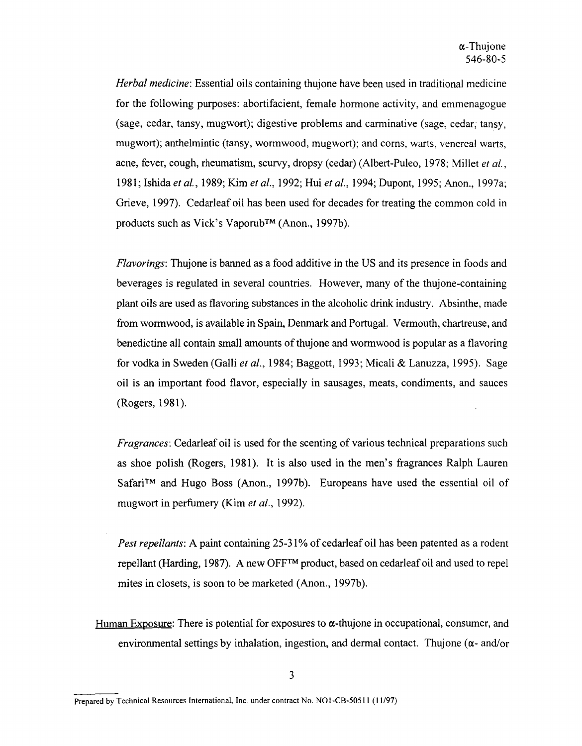*Herbal medicine:* Essential oils containing thujone have been used in traditional medicine for the following purposes: abortifacient, female hormone activity, and emmenagogue (sage, cedar, tansy, mugwort); digestive problems and carminative (sage, cedar, tansy, mugwort); anthelmintic (tansy, wormwood, mugwort); and corns, warts, venereal warts, acne, fever, cough, rheumatism, scurvy, dropsy (cedar) (Albert-Puleo, 1978; Millet *et al.,*  1981; Ishida *et al.,* 1989; Kim *et al.,* 1992; Hui *et al.,* 1994; Dupont, 1995; Anon., l 997a; Grieve, 1997). Cedarleaf oil has been used for decades for treating the common cold in products such as Vick's Vaporub™ (Anon., 1997b).

*Flavorings:* Thujone is banned as a food additive in the US and its presence in foods and beverages is regulated in several countries. However, many of the thujone-containing plant oils are used as flavoring substances in the alcoholic drink industry. Absinthe, made from wormwood, is available in Spain, Denmark and Portugal. Vermouth, chartreuse, and benedictine all contain small amounts of thujone and wormwood is popular as a flavoring for vodka in Sweden (Galli *et al.,* 1984; Baggott, 1993; Micali & Lanuzza, 1995). Sage oil is an important food flavor, especially in sausages, meats, condiments, and sauces (Rogers, 1981).

*Fragrances:* Cedarleaf oil is used for the scenting of various technical preparations such as shoe polish (Rogers, 1981). It is also used in the men's fragrances Ralph Lauren Safari<sup>TM</sup> and Hugo Boss (Anon., 1997b). Europeans have used the essential oil of mugwort in perfumery (Kim *et al.,* 1992).

*Pest repellants:* A paint containing 25-31% of cedarleaf oil has been patented as a rodent repellant (Harding, 1987). A new OFF™ product, based on cedarleaf oil and used to repel mites in closets, is soon to be marketed (Anon., 1997b).

Human Exposure: There is potential for exposures to  $\alpha$ -thujone in occupational, consumer, and environmental settings by inhalation, ingestion, and dermal contact. Thujone  $(\alpha$ - and/or

Prepared by Technical Resources International, Inc. under contract No. NO l-CB-50511 ( 11/97)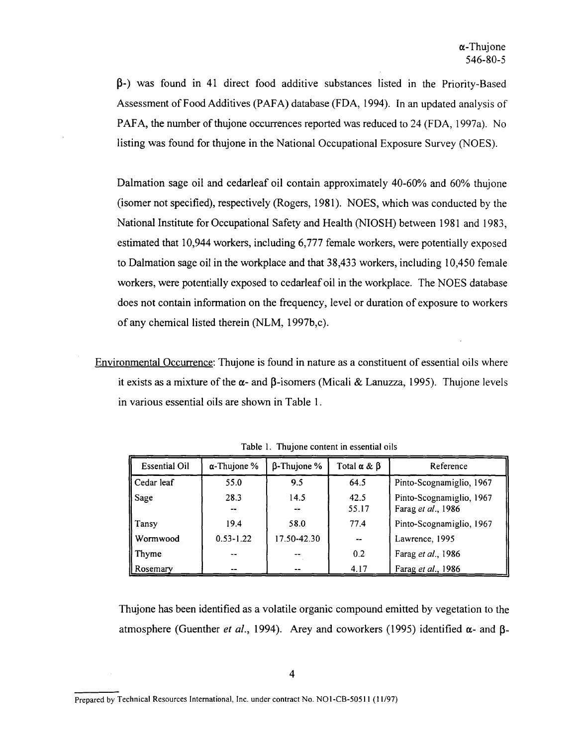P-) was found in 41 direct food additive substances listed in the Priority-Based Assessment of Food Additives (PAFA) database (FDA, 1994). In an updated analysis of PAFA, the number of thujone occurrences reported was reduced to 24 (FDA, 1997a). No listing was found for thujone in the National Occupational Exposure Survey (NOES).

Dalmation sage oil and cedarleaf oil contain approximately 40-60% and 60% thujone (isomer not specified), respectively (Rogers, 1981 ). NOES, which was conducted by the National Institute for Occupational Safety and Health (NIOSH) between 1981 and 1983, estimated that 10,944 workers, including 6,777 female workers, were potentially exposed to Dalmation sage oil in the workplace and that 38,433 workers, including 10,450 female workers, were potentially exposed to cedarleaf oil in the workplace. The NOES database does not contain information on the frequency, level or duration of exposure to workers of any chemical listed therein (NLM, 1997b,c ).

Environmental Occurrence: Thujone is found in nature as a constituent of essential oils where it exists as a mixture of the  $\alpha$ - and  $\beta$ -isomers (Micali & Lanuzza, 1995). Thujone levels in various essential oils are shown in Table 1.

| <b>Essential Oil</b> | $\alpha$ -Thujone % | $\beta$ -Thujone % | Total $\alpha \& \beta$ | Reference                                      |
|----------------------|---------------------|--------------------|-------------------------|------------------------------------------------|
| Cedar leaf           | 55.0                | 9.5                | 64.5                    | Pinto-Scognamiglio, 1967                       |
| Sage                 | 28.3<br>--          | 14.5               | 42.5<br>55.17           | Pinto-Scognamiglio, 1967<br>Farag et al., 1986 |
| Tansy                | 19.4                | 58.0               | 77.4                    | Pinto-Scognamiglio, 1967                       |
| ll Wormwood          | $0.53 - 1.22$       | 17.50-42.30        | --                      | Lawrence, 1995                                 |
| Thyme                |                     |                    | 0.2                     | Farag et al., 1986                             |
| Rosemary             | --                  | --                 | 4.17                    | Farag et al., 1986                             |

Table I. Thujone content in essential oils

Thujone has been identified as a volatile organic compound emitted by vegetation to the atmosphere (Guenther *et al.,* 1994). Arey and coworkers (1995) identified *a-* and P-

Prepared by Technical Resources International, Inc. under contract No. NO1-CB-50511 (11/97)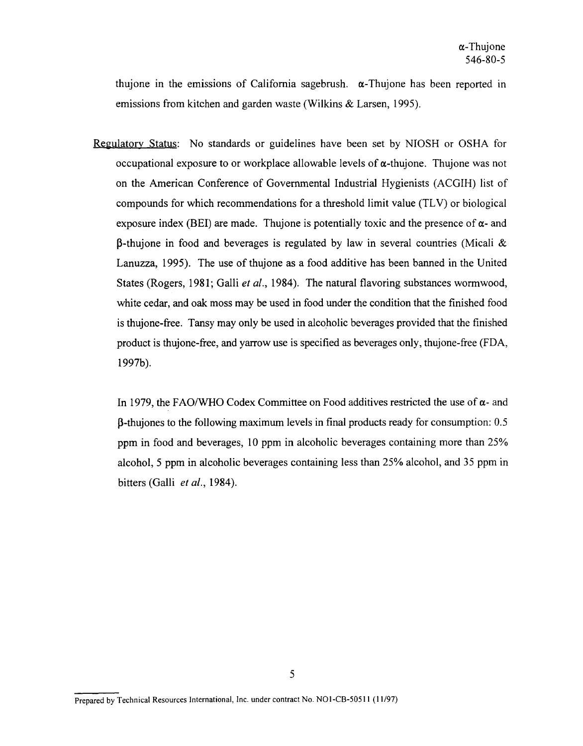thujone in the emissions of California sagebrush.  $\alpha$ -Thujone has been reported in emissions from kitchen and garden waste (Wilkins & Larsen, 1995).

Regulatory Status: No standards or guidelines have been set by NIOSH or OSHA for occupational exposure to or workplace allowable levels of  $\alpha$ -thujone. Thujone was not on the American Conference of Governmental Industrial Hygienists (ACGIH) list of compounds for which recommendations for a threshold limit value (TL V) or biological exposure index (BEI) are made. Thujone is potentially toxic and the presence of  $\alpha$ - and  $\beta$ -thujone in food and beverages is regulated by law in several countries (Micali & Lanuzza, 1995). The use of thujone as a food additive has been banned in the United States (Rogers, 1981; Galli *et al.,* 1984). The natural flavoring substances wormwood, white cedar, and oak moss may be used in food under the condition that the finished food is thujone-free. Tansy may only be used in alcoholic beverages provided that the finished product is thujone-free, and yarrow use is specified as beverages only, thujone-free (FDA, 1997b).

In 1979, the FAO/WHO Codex Committee on Food additives restricted the use of  $\alpha$ - and P-thujones to the following maximum levels in final products ready for consumption: 0.5 ppm in food and beverages, 10 ppm in alcoholic beverages containing more than 25% alcohol, 5 ppm in alcoholic beverages containing less than 25% alcohol, and 35 ppm in bitters (Galli *et al.,* 1984).

Prepared by Technical Resources International, Inc. under contract No. NOl-CB-50511 (11/97)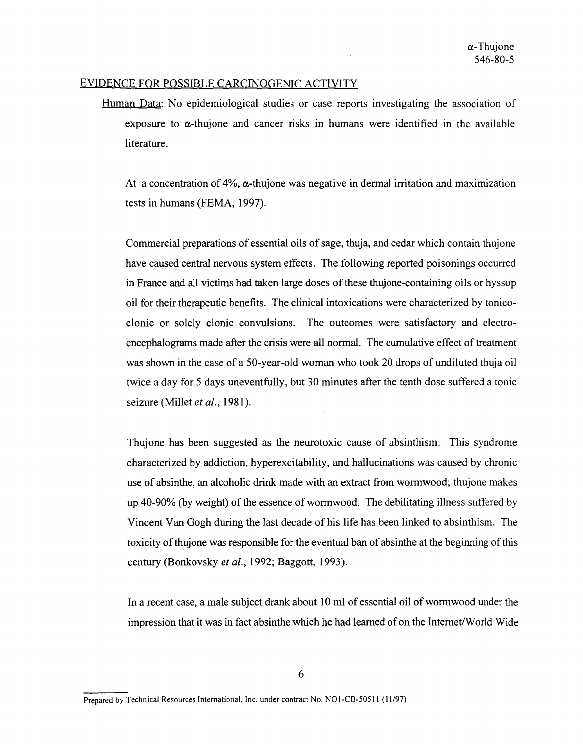#### EVIDENCE FOR POSSIBLE CARCINOGENIC ACTIVITY

Human Data: No epidemiological studies or case reports investigating the association of exposure to  $\alpha$ -thujone and cancer risks in humans were identified in the available literature.

At a concentration of  $4\%$ ,  $\alpha$ -thujone was negative in dermal irritation and maximization tests in humans (FEMA, 1997).

Commercial preparations of essential oils of sage, thuja, and cedar which contain thujone have caused central nervous system effects. The following reported poisonings occurred in France and all victims had taken large doses of these thujone-containing oils or hyssop oil for their therapeutic benefits. The clinical intoxications were characterized by tonicoclonic or solely clonic convulsions. The outcomes were satisfactory and electroencephalograms made after the crisis were all normal. The cumulative effect of treatment was shown in the case of a 50-year-old woman who took 20 drops of undiluted thuja oil twice a day for 5 days uneventfully, but 30 minutes after the tenth dose suffered a tonic seizure (Millet *et al.*, 1981).

Thujone has been suggested as the neurotoxic cause of absinthism. This syndrome characterized by addiction, hyperexcitability, and hallucinations was caused by chronic use of absinthe, an alcoholic drink made with an extract from wormwood; thujone makes up 40-90% (by weight) of the essence of wormwood. The debilitating illness suffered by Vincent Van Gogh during the last decade of his life has been linked to absinthism. The toxicity of thujone was responsible for the eventual ban of absinthe at the beginning of this century (Bonkovsky *et al.,* 1992; Baggott, 1993).

In a recent case, a male subject drank about 10 ml of essential oil of wormwood under the impression that it was in fact absinthe which he had learned of on the Internet/World Wide

Prepared by Technical Resources International, Inc. under contract No. NOl-CB-50511 (11/97)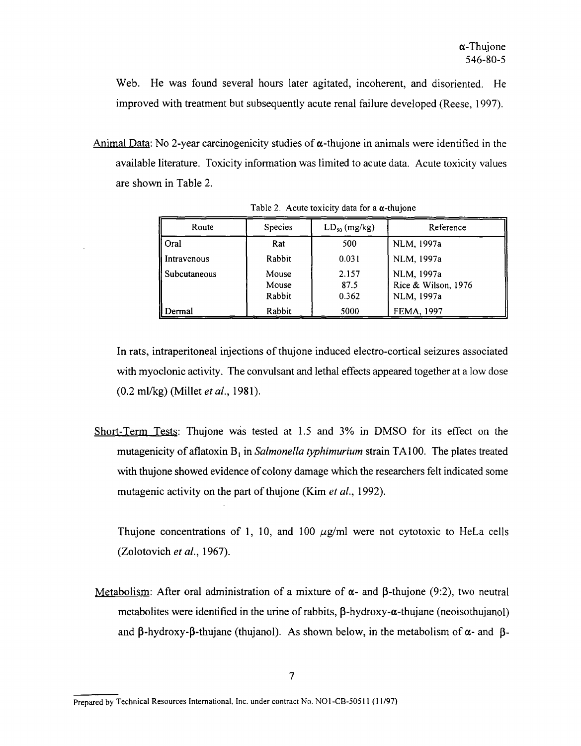Web. He was found several hours later agitated, incoherent, and disoriented. He improved with treatment but subsequently acute renal failure developed (Reese, 1997).

Animal Data: No 2-year carcinogenicity studies of  $\alpha$ -thujone in animals were identified in the available literature. Toxicity information was limited to acute data. Acute toxicity values are shown in Table 2.

| Route        | Species                  | $LD_{50}$ (mg/kg)      | Reference                                       |
|--------------|--------------------------|------------------------|-------------------------------------------------|
| Oral         | Rat                      | 500                    | NLM, 1997a                                      |
| Intravenous  | Rabbit                   | 0.031                  | NLM, 1997a                                      |
| Subcutaneous | Mouse<br>Mouse<br>Rabbit | 2.157<br>87.5<br>0.362 | NLM, 1997a<br>Rice & Wilson, 1976<br>NLM, 1997a |
| Dermal       | Rabbit                   | 5000                   | FEMA, 1997                                      |

Table 2. Acute toxicity data for a  $\alpha$ -thujone

In rats, intraperitoneal injections of thujone induced electro-cortical seizures associated with myoclonic activity. The convulsant and lethal effects appeared together at a low dose (0.2 ml/kg) (Millet *et al.,* 1981).

Short-Term Tests: Thujone was tested at 1.5 and 3% in DMSO for its effect on the mutagenicity of aflatoxin B<sub>1</sub> in *Salmonella typhimurium* strain TA100. The plates treated with thujone showed evidence of colony damage which the researchers felt indicated some mutagenic activity on the part of thujone (Kim *et al.,* 1992).

Thujone concentrations of 1, 10, and 100  $\mu$ g/ml were not cytotoxic to HeLa cells (Zolotovich *et al.,* 1967).

Metabolism: After oral administration of a mixture of  $\alpha$ - and  $\beta$ -thujone (9:2), two neutral metabolites were identified in the urine of rabbits,  $\beta$ -hydroxy- $\alpha$ -thujane (neoisothujanol) and  $\beta$ -hydroxy- $\beta$ -thujane (thujanol). As shown below, in the metabolism of  $\alpha$ - and  $\beta$ -

Prepared by Technical Resources International, Inc. under contract No. NO1-CB-50511 (11/97)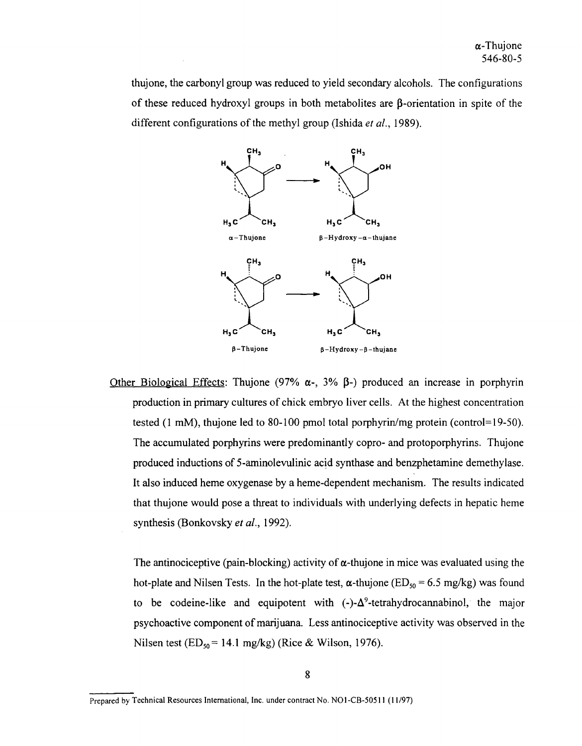thujone, the carbonyl group was reduced to yield secondary alcohols. The configurations of these reduced hydroxyl groups in both metabolites are  $\beta$ -orientation in spite of the different configurations of the methyl group (Ishida *et al.,* 1989).



Other Biological Effects: Thujone (97% *a-,* 3% P-) produced an increase in porphyrin production in primary cultures of chick embryo liver cells. At the highest concentration tested  $(1 \text{ mM})$ , thujone led to 80-100 pmol total porphyrin/mg protein (control= $19-50$ ). The accumulated porphyrins were predominantly copro- and protoporphyrins. Thujone produced inductions of 5-aminolevulinic acid synthase and benzphetamine demethylase. It also induced heme oxygenase by a heme-dependent mechanism. The results indicated that thujone would pose a threat to individuals with underlying defects in hepatic heme synthesis (Bonkovsky *et al.,* 1992).

The antinociceptive (pain-blocking) activity of  $\alpha$ -thujone in mice was evaluated using the hot-plate and Nilsen Tests. In the hot-plate test,  $\alpha$ -thujone (ED<sub>50</sub> = 6.5 mg/kg) was found to be codeine-like and equipotent with  $(-)-\Delta^9$ -tetrahydrocannabinol, the major psychoactive component of marijuana. Less antinociceptive activity was observed in the Nilsen test (ED<sub>50</sub> = 14.1 mg/kg) (Rice & Wilson, 1976).

Prepared by Technical Resources International, Inc. under contract No. NO1-CB-50511 (11/97)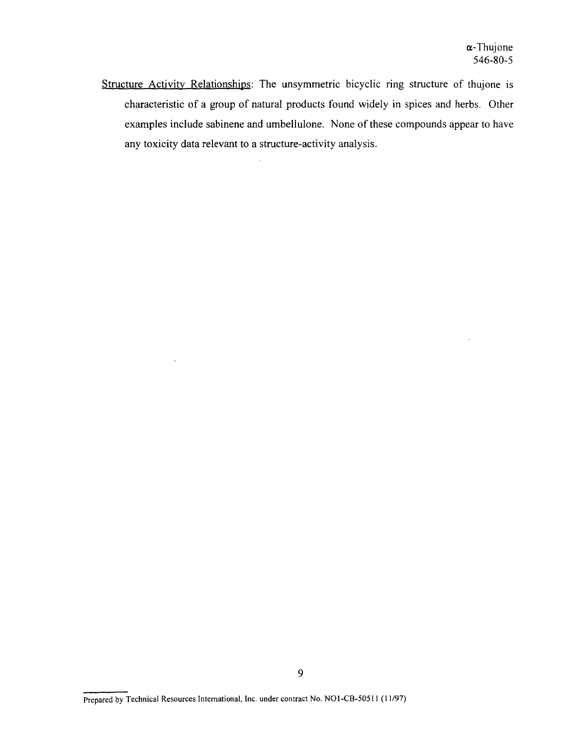Structure Activity Relationships: The unsymmetric bicyclic ring structure of thujone is characteristic of a group of natural products found widely in spices and herbs. Other examples include sabinene and umbellulone. None of these compounds appear to have any toxicity data relevant to a structure-activity analysis.

 $\sim$ 

 $\overline{a}$ 

Prepared by Technical Resources International, Inc. under contract No. NOI-CB-50511 (11/97)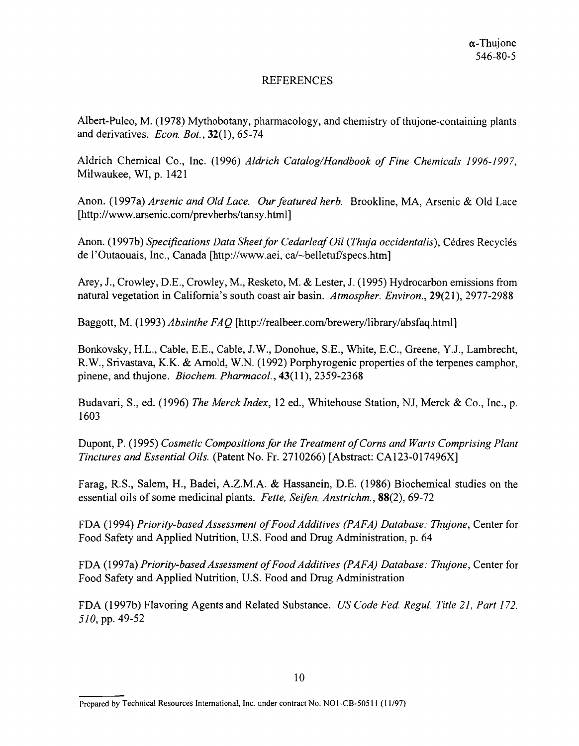## **REFERENCES**

Albert-Puleo, M. (1978) Mythobotany, pharmacology, and chemistry of thujone-containing plants and derivatives. *Econ. Bot.,* 32(1), 65-74

Aldrich Chemical Co., Inc. (1996) *Aldrich Catalog/Handbook of Fine Chemicals 1996-1997,*  Milwaukee, WI, p. 1421

Anon. (1997a) *Arsenic and Old Lace. Our featured herb.* Brookline, MA, Arsenic & Old Lace [http://www.arsenic.com/prevherbs/tansy.html]

Anon. (1997b) *Specifications Data Sheet for Cedarleaf Oil (Thuja occidentalis)*, Cédres Recyclés de l'Outaouais, Inc., Canada [http://www.aei, ca/-belletuf/specs.htm]

Arey, J., Crowley, D.E., Crowley, M., Resketo, M. & Lester, J. (1995) Hydrocarbon emissions from natural vegetation in California's south coast air basin. *Atmospher. Environ.,* 29(21), 2977-2988

Baggott, M. (1993) *Absinthe FAQ* [http://realbeer.com/brewery/library/absfaq.html]

Bonkovsky, H.L., Cable, E.E., Cable, J.W., Donohue, S.E., White, E.C., Greene, Y.J., Lambrecht, R.W., Srivastava, K.K. & Arnold, W.N. (1992) Porphyrogenic properties of the terpenes camphor, pinene, and thujone. *Biochem. Pharmacol.,* 43(11), 2359-2368

Budavari, S., ed. (1996) *The Merck Index,* 12 ed., Whitehouse Station, NJ, Merck & Co., Inc., p. 1603

Dupont, P. (1995) *Cosmetic Compositions for the Treatment of Corns and Warts Comprising Plant Tinctures and Essential Oils.* (Patent No. Fr. 2710266) [Abstract: CA123-017496X]

Farag, R.S., Salem, H., Badei, A.Z.M.A. & Hassanein, D.E. (1986) Biochemical studies on the essential oils of some medicinal plants. *Fette, Seifen, Anstrichm.,* 88(2), 69-72

FDA (1994) *Priority-based Assessment of Food Additives (PAFA) Database: Thujone, Center for* Food Safety and Applied Nutrition, U.S. Food and Drug Administration, p. 64

FDA (1997a) *Priority-based Assessment ofFood Additives (PAFA) Database: Thujone,* Center for Food Safety and Applied Nutrition, U.S. Food and Drug Administration

FDA (1997b) Flavoring Agents and Related Substance. *US Code Fed. Regul. Title 21, Part 172. 510,* pp. 49-52

Prepared by Technical Resources International, Inc. under contract No. NO1-CB-50511 (11/97)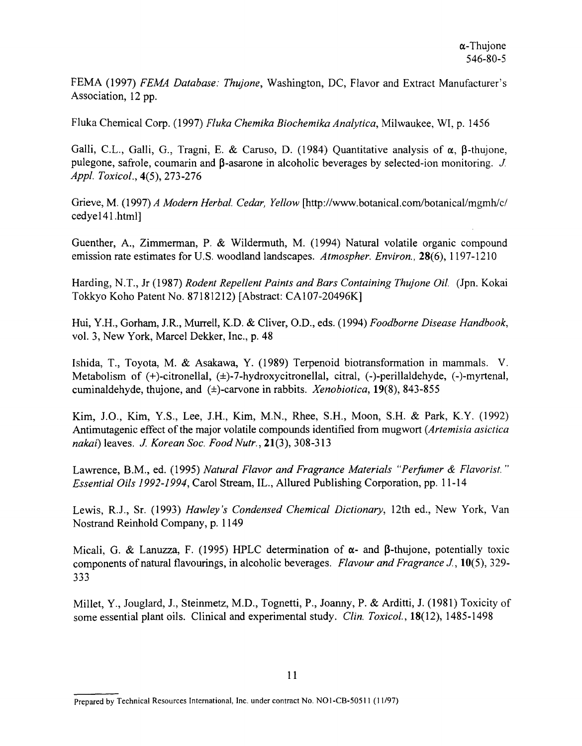FEMA (1997) *FEMA Database: Thujone,* Washington, DC, Flavor and Extract Manufacturer's Association, 12 pp.

Fluka Chemical Corp. ( 1997) *Fluka Chemika Biochemika Analytica,* Milwaukee, WI, p. 1456

Galli, C.L., Galli, G., Tragni, E. & Caruso, 0. (1984) Quantitative analysis of *a.,* P-thujone, pulegone, safrole, coumarin and  $\beta$ -asarone in alcoholic beverages by selected-ion monitoring. J. *Appl. Toxicol.,* 4(5), 273-276

Grieve, M. (1997) *A Modern Herbal. Cedar, Yellow* [http://www.botanical.com/botanical/mgmh/c/ cedyel41.html]

Guenther, A., Zimmerman, P. & Wildermuth, M. (1994) Natural volatile organic compound emission rate estimates for U.S. woodland landscapes. *Atmospher. Environ.,* 28(6), 1197-1210

Harding, N.T., Jr (1987) *Rodent Repellent Paints and Bars Containing Thujone Oil.* (Jpn. Kokai Tokkyo Koho Patent No. 87181212) [Abstract: CA107-20496K]

Hui, Y.H., Gorham, J.R., Murrell, K.D. & Cliver, 0.0., eds. (1994) *Foodborne Disease Handbook,*  vol. 3, New York, Marcel Dekker, Inc., p. 48

Ishida, T., Toyota, M. & Asakawa, Y. (1989) Terpenoid biotransformation in mammals. V. Metabolism of  $(+)$ -citronellal,  $(±)$ -7-hydroxycitronellal, citral,  $(-)$ -perillaldehyde,  $(-)$ -myrtenal, cuminaldehyde, thujone, and (±)-carvone in rabbits. *Xenobiotica,* 19(8), 843-855

Kim, J.O., Kim, Y.S., Lee, J.H., Kim, M.N., Rhee, S.H., Moon, S.H. & Park, K.Y. (1992) Antimutagenic effect of the major volatile compounds identified from mugwort *(Artemisia asictica nakai*) leaves. *J. Korean Soc. Food Nutr.*, 21(3), 308-313

Lawrence, B.M., ed. (1995) *Natural Flavor and Fragrance Materials "Perfumer* & *Flavorist." Essential Oils 1992-1994,* Carol Stream, IL., Allured Publishing Corporation, pp. 11-14

Lewis, R.J., Sr. (1993) *Hawley's Condensed Chemical Dictionary,* 12th ed., New York, Van Nostrand Reinhold Company, p. 1149

Micali, G. & Lanuzza, F. (1995) HPLC determination of α- and β-thujone, potentially toxic components of natural flavourings, in alcoholic beverages. *Flavour and Fragrance* J, 10(5), 329 333

Millet, Y., Jouglard, J., Steinmetz, M.D., Tognetti, P., Joanny, P. & Arditti, J. (1981) Toxicity of some essential plant oils. Clinical and experimental study. *Clin. Toxicol.,* 18(12), 1485-1498

Prepared by Technical Resources International, Inc. under contract No. NOl-CB-50511 (11/97)